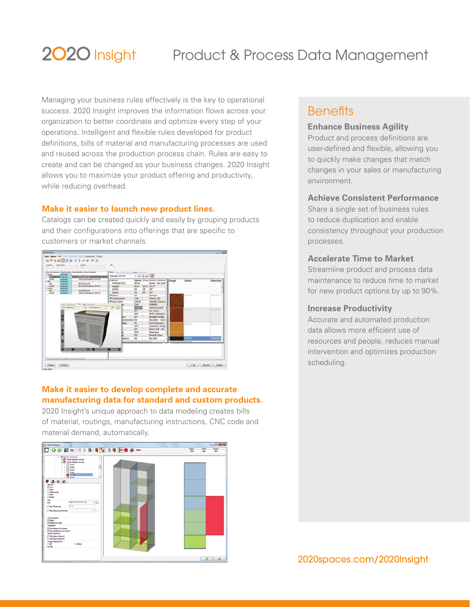# Insight Product & Process Data Management

Managing your business rules effectively is the key to operational success. 2020 Insight improves the information flows across your organization to better coordinate and optimize every step of your operations. Intelligent and flexible rules developed for product definitions, bills of material and manufacturing processes are used and reused across the production process chain. Rules are easy to create and can be changed as your business changes. 2020 Insight allows you to maximize your product offering and productivity, while reducing overhead.

## **Make it easier to launch new product lines.**

Catalogs can be created quickly and easily by grouping products and their configurations into offerings that are specific to customers or market channels.



## **Make it easier to develop complete and accurate manufacturing data for standard and custom products.**

2020 Insight's unique approach to data modeling creates bills of material, routings, manufacturing instructions, CNC code and material demand, automatically.



## **Benefits**

## **Enhance Business Agility**

Product and process definitions are user-defined and flexible, allowing you to quickly make changes that match changes in your sales or manufacturing environment.

## **Achieve Consistent Performance**

Share a single set of business rules to reduce duplication and enable consistency throughout your production processes.

## **Accelerate Time to Market**

Streamline product and process data maintenance to reduce time to market for new product options by up to 90%.

## **Increase Productivity**

Accurate and automated production data allows more efficient use of resources and people, reduces manual intervention and optimizes production scheduling.

2020spaces.com/2020Insight